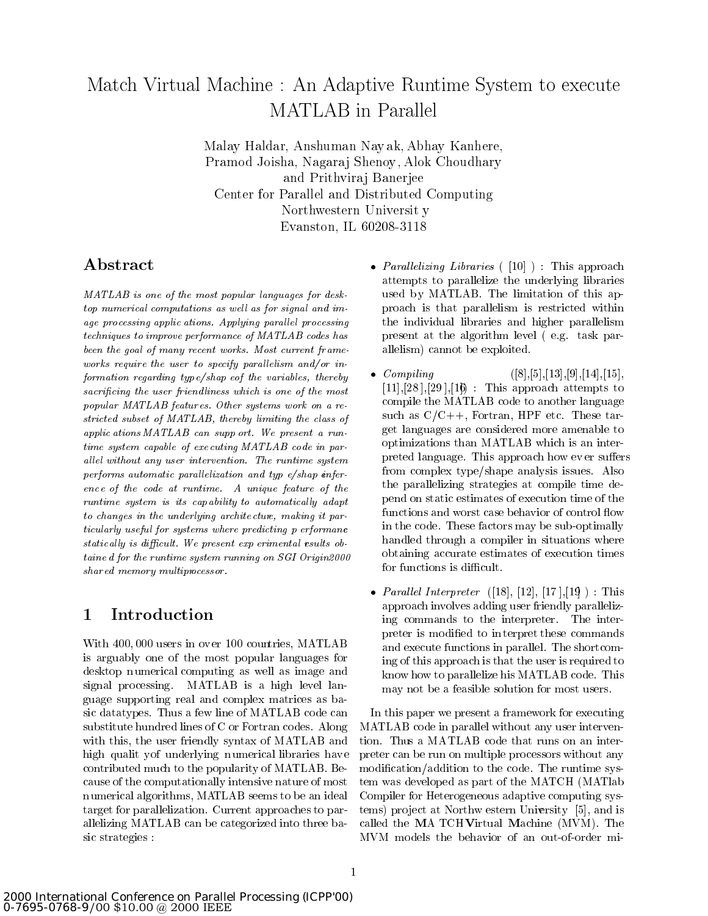# Match Virtual Machine : An Adaptive Runtime System to execute MATLAB in Parallel

Malay Haldar, Anshuman Nay ak, Abhay Kanhere, Pramod Joisha, Nagaraj Shenoy, Alok Choudhary and Prithviraj Banerjee Center for Parallel and Distributed Computing Northwestern Universit y Evanston, IL 60208-3118

## Abstract

MATLAB is one of the most popular languages for desktop numerical computations as well as for signal and image processing applic ations. Applying parallel processing techniques to improve performance of MATLAB codes has been the goal of many recent works. Most current frameworks require the user to specify parallelism and/or information regarding typ e/shap eof the variables, thereby sacrificing the user friendliness which is one of the most popular MATLAB featur es. Other systems work on a re stricted subset of MATLAB, thereby limiting the class of applic ations MATLAB can supp ort. We present a runtime system capable of exe cuting MATLAB code in par allel without any user intervention. The runtime system performs automatic parallelization and typ  $e/\text{shap}$  enferenc e of the code at runtime. A unique feature of the runtime system is its capability to automatically adapt to changes in the underlying archite cture, making it particularly useful for systems where predicting p erformane statically is difficult. We present exp erimental results obtaine d for the runtime system running on SGI Origin2000 shar ed memory multiprocessor.

## 1 Introduction

With 400; 000 users in ov er 100 countries, MATLAB is arguably one of the most popular languages for desktop numerical computing as well as image and signal processing. MATLAB is a high level language supporting real and complex matrices as basic datatypes. Thus a few line of MATLAB code can substitute hundred lines of C or Fortran codes. Along with this, the user friendly syntax of MATLAB and high qualit yof underlying n umerical libraries hav e contributed much to the popularity of MATLAB. Because of the computationally intensive nature of most n umerical algorithms, MATLAB seems to be an ideal target for parallelization. Current approaches to parallelizing MATLAB can be categorized into three basic strategies :

- Paral lelizing Libraries ( [10] ) : This approach attempts to parallelize the underlying libraries used by MATLAB. The limitation of this approach is that parallelism is restricted within the individual libraries and higher parallelism present at the algorithm level (e.g. task parallelism) cannot be exploited.
- $\bullet$  Compiling  $([8],[5],[13],[9],[14],[15],$  $[11]$ ,  $[28]$ ,  $[29]$ ,  $[16]$ : This approach attempts to compile the MATLAB code to another language such as  $C/C++$ , Fortran, HPF etc. These target languages are considered more amenable to optimizations than MATLAB which is an interpreted language. This approach how ever suffers from complex type/shape analysis issues. Also the parallelizing strategies at compile time depend on static estimates of execution time of the functions and worst case behavior of control flow in the code. These factors may be sub-optimally handled through a compiler in situations where obtaining accurate estimates of execution times for functions is difficult.
- Paral lel Interpreter ([18], [12], [17 ],[19]): This approach involves adding user friendly parallelizing commands to the interpreter. The interpreter is modied to in terpret these commands and execute functions in parallel. The shortcoming of this approach is that the user is required to know how to parallelize his MATLAB code. This may not be a feasible solution for most users.

In this paper we present a framework for executing MATLAB code in parallel without any user intervention. Thus a MATLAB code that runs on an interpreter can be run on multiple processors without any modication/addition to the code. The runtime system was developed as part of the MATCH (MATlab Compiler for Heterogeneous adaptive computing systems) pro ject at Northw estern University [5], and is called the MA TCHVirtual Machine (MVM). The MVM models the behavior of an out-of-order mi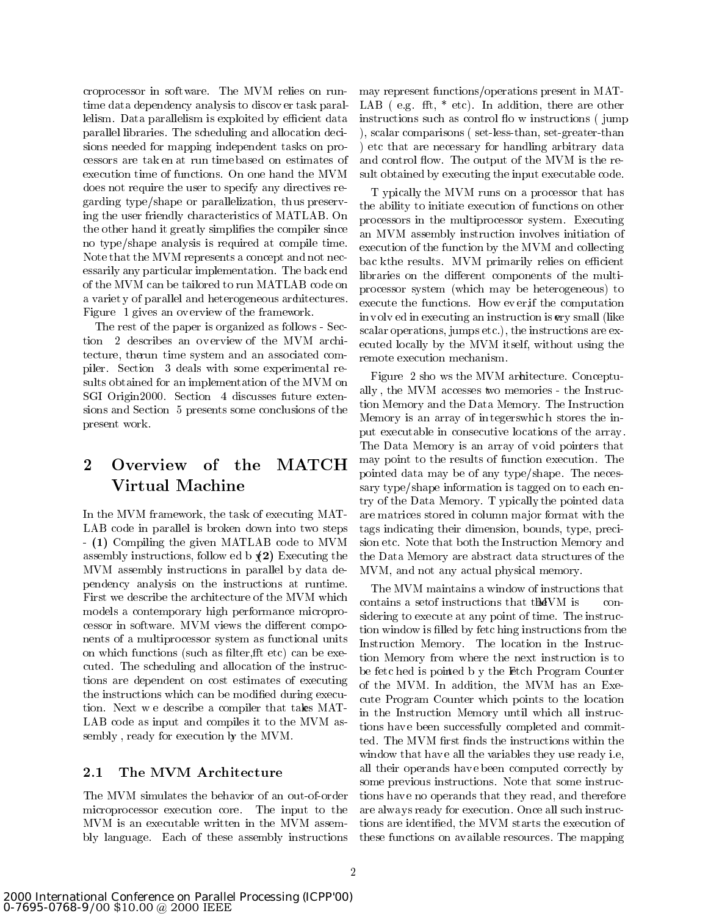croprocessor in software. The MVM relies on runtime data dependency analysis to discov er task parallelism. Data parallelism is exploited by efficient data parallel libraries. The scheduling and allocation decisions needed for mapping independent tasks on processors are tak en at run time based on estimates of execution time of functions. On one hand the MVM does not require the user to specify any directives regarding type/shape or parallelization, th us preserving the user friendly characteristics of MATLAB. On the other hand it greatly simplifies the compiler since no type/shape analysis is required at compile time. Note that the MVM represents a concept and not necessarily any particular implementation. The back end of the MVM can be tailored to run MATLAB code on a variet y of parallel and heterogeneous architectures. Figure 1 gives an ov erview of the framework.

The rest of the paper is organized as follows - Section 2 describes an ov erview of the MVM architecture, therun time system and an associated compiler. Section 3 deals with some experimental results obtained for an implementation of the MVM on SGI Origin2000. Section 4 discusses future extensions and Section 5 presents some conclusions of the present work.

# $\overline{2}$ Virtual Machine

In the MVM framework, the task of executing MAT-LAB code in parallel is broken down into two steps - (1) Compiling the given MATLAB code to MVM assembly instructions, follow ed b  $(2)$  Executing the MVM assembly instructions in parallel by data dependency analysis on the instructions at runtime. First we describe the architecture of the MVM which models a contemporary high performance microprocessor in software. MVM views the different components of a multiprocessor system as functional units on which functions (such as filter, fit etc) can be executed. The scheduling and allocation of the instructions are dependent on cost estimates of executing the instructions which can be modied during execution. Next w e describe a compiler that takes MAT-LAB code as input and compiles it to the MVM assembly, ready for execution by the MVM.

#### 2.1 The MVM Architecture

The MVM simulates the behavior of an out-of-order microprocessor execution core. The input to the MVM is an executable written in the MVM assembly language. Each of these assembly instructions

execution time of functions. On one hand the MVM sult obtained by executing the input executable code. may represent functions/operations present in MAT-LAB (e.g. fft,  $*$  etc). In addition, there are other instructions such as control flow instructions (jump) ), scalar comparisons ( set-less-than, set-greater-than ) etc that are necessary for handling arbitrary data and control flow. The output of the MVM is the re-

> T ypically, the MVM runs on a processor that has the ability to initiate execution of functions on other processors in the multiprocessor system. Executing an MVM assembly instruction involves initiation of execution of the function by the MVM and collecting bac kthe results. MVM primarily relies on efficient libraries on the different components of the multiprocessor system (which may be heterogeneous) to execute the functions. How ev er, if the computation in v olv ed in executing an instruction is ery small (like scalar operations, jumps etc.), the instructions are executed locally by the MVM itself, without using the remote execution mechanism.

pointed data may be of any type/shape. The neces-Figure 2 sho ws the MVM architecture. Conceptually , the MVM accesses two memories - the Instruction Memory and the Data Memory. The Instruction Memory is an array of in tegerswhic h stores the input executable in consecutive locations of the array . The Data Memory is an array of v oid pointers that may point to the results of function execution. The sary type/shape information is tagged on to each entry of the Data Memory. T ypically the pointed data are matrices stored in column ma jor format with the tags indicating their dimension, bounds, type, precision etc. Note that both the Instruction Memory and the Data Memory are abstract data structures of the MVM, and not any actual physical memory.

> The MVM maintains a window of instructions that contains a set f instructions that the VM is considering to execute at any point of time. The instruction window is filled by fetc hing instructions from the Instruction Memory. The location in the Instruction Memory from where the next instruction is to be fetc hed is pointed b y the Etch Program Counter of the MVM. In addition, the MVM has an Execute Program Counter which points to the location in the Instruction Memory until which all instructions have been successfully completed and committed. The MVM first finds the instructions within the window that have all the variables they use ready i.e. all their operands hav e been computed correctly by some previous instructions. Note that some instructions hav e no operands that they read, and therefore are always ready for execution. Once all such instructions are identied, the MVM starts the execution of these functions on available resources. The mapping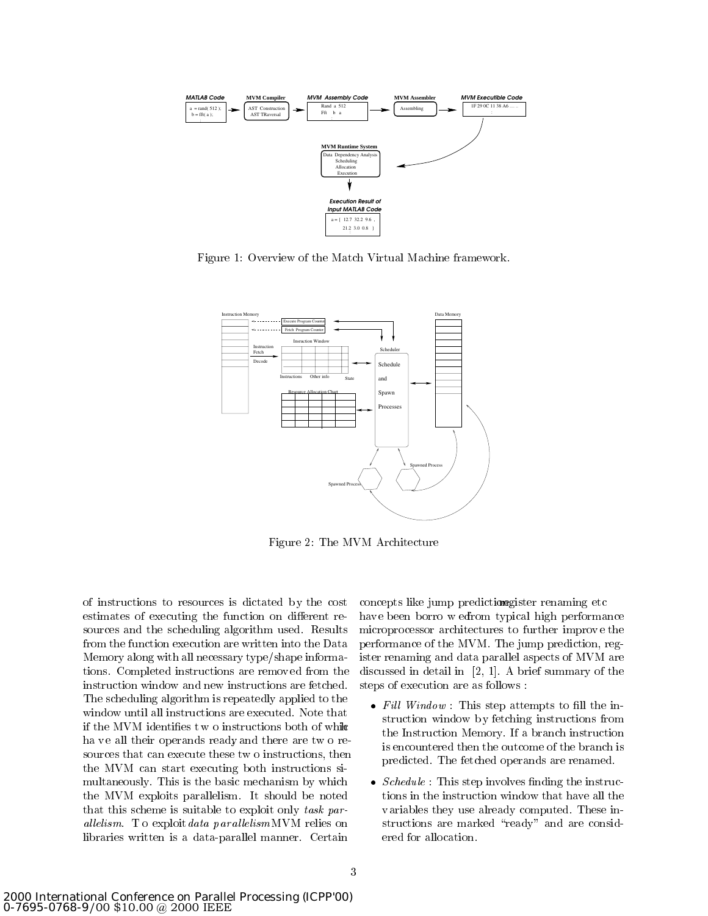

Figure 1: Overview of the Match Virtual Machine framework.



Figure 2: The MVM Architecture

of instructions to resources is dictated b y the cost estimates of executing the function on different resources and the scheduling algorithm used. Results from the function execution are written into the Data Memory along with all necessary type/shape informations. Completed instructions are remov ed from the instruction window and new instructions are fetched. The scheduling algorithm is repeatedly applied to the window until all instructions are executed. Note that if the MVM identifies two instructions both of while ha ve all their operands ready and there are two resources that can execute these tw o instructions, then the MVM can start executing both instructions si multaneously. This is the basic mechanism by which the MVM exploits parallelism. It should be noted that this scheme is suitable to exploit only task parallelism. To exploit data par allelism MVM relies on libraries written is a data-parallel manner. Certain

concepts like jump predictions gister renaming etc hav e been borro w edfrom typical high performance microprocessor architectures to further improv e the performance of the MVM. The jump prediction, register renaming and data parallel aspects of MVM are discussed in detail in [2, 1]. A brief summary of the steps of execution are as follows :

- Fil l Window : This step attempts to ll the instruction window b y fetching instructions from the Instruction Memory. If a branch instruction is encountered then the outcome of the branch is predicted. The fetched operands are renamed.
- schedule : This step in the instruction of the instruction tions in the instruction window that have all the variables they use already computed. These instructions are marked "ready" and are considered for allocation.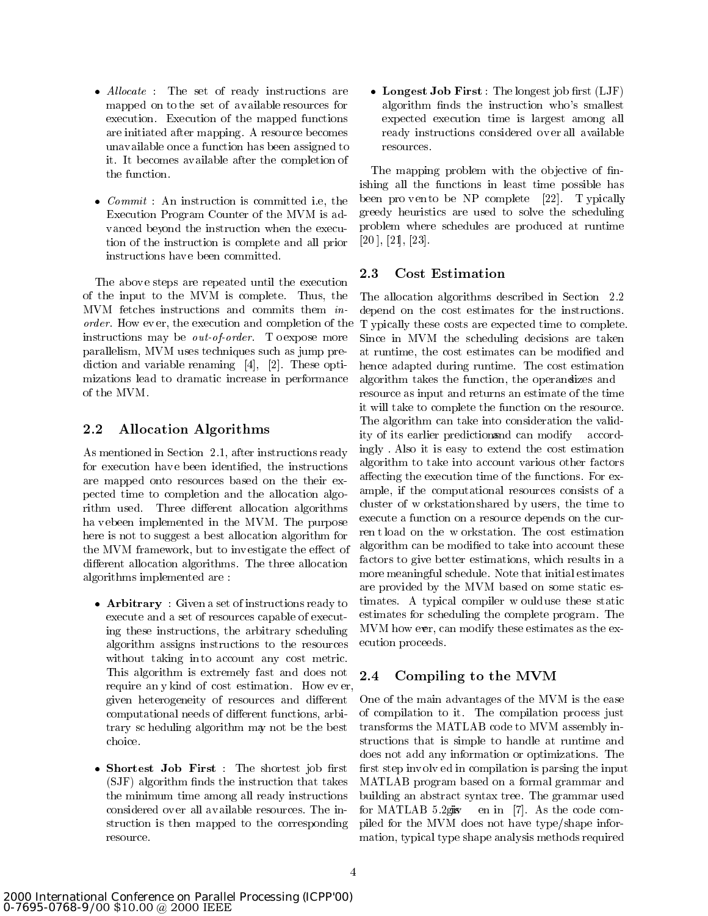- Al locate : The set of ready instructions are mapped on to the set of available resources for execution. Execution of the mapped functions are initiated after mapping. A resource becomes unavailable once a function has been assigned to it. It becomes available after the completion of the function.
- Committed : Anno 1988 in the committee in the committee in the committee in the committee in the committee in the committee in the committee in the committee in the committee in the committee in the committee in the commit Execution Program Counter of the MVM is advanced beyond the instruction when the execution of the instruction is complete and all prior instructions hav e been committed.

The above steps are repeated until the execution of the input to the MVM is complete. Thus, the MVM fetches instructions and commits them inorder. How ev er, the execution and completion of the instructions may be *out-of-order*. To expose more parallelism, MVM uses techniques such as jump prediction and variable renaming [4], [2]. These optimizations lead to dramatic increase in performance of the MVM.

#### 2.2 Allocation Algorithms

As mentioned in Section 2.1, after instructions ready for execution have been identified, the instructions are mapped onto resources based on the their expected time to completion and the allocation algorithm used. Three different allocation algorithms ha v ebeen implemented in the MVM. The purpose here is not to suggest a best allocation algorithm for the MVM framework, but to investigate the effect of different allocation algorithms. The three allocation algorithms implemented are :

- Arbitrary : Given a set of instructions ready to execute and a set of resources capable of executing these instructions, the arbitrary scheduling algorithm assigns instructions to the resources without taking into account any cost metric. This algorithm is extremely fast and does not 2.4 require an y kind of cost estimation. How ev er, given heterogeneity of resources and different computational needs of different functions, arbitrary sc heduling algorithm may not be the best choice.
- shortest in the first state in the shortest shorter in the shorter (SJF) algorithm nds the instruction that takes the minimum time among all ready instructions considered over all available resources. The in- for MATLAB 5.2gisy struction is then mapped to the corresponding resource.

 Longest Job First : The longest job rst (LJF) algorithm finds the instruction who's smallest expected execution time is largest among all ready instructions considered ov er all available resources.

The mapping problem with the objective of finishing all the functions in least time possible has been pro vento be NP complete  $[22]$ . T ypically greedy heuristics are used to solve the scheduling problem where schedules are produced at runtime [20 ], [21], [23].

## 2.3 Cost Estimation

The allocation algorithms described in Section 2.2 depend on the cost estimates for the instructions. T ypically these costs are expected time to complete. Since in MVM the scheduling decisions are taken at runtime, the cost estimates can be modified and hence adapted during runtime. The cost estimation algorithm takes the function, the operandizes and resource as input and returns an estimate of the time it will take to complete the function on the resource. The algorithm can take into consideration the validity of its earlier predictionsand can modify accordingly . Also it is easy to extend the cost estimation algorithm to take into account various other factors affecting the execution time of the functions. For example, if the computational resources consists of a cluster of w orkstation shared by users, the time to execute a function on a resource depends on the curren t load on the w orkstation. The cost estimation algorithm can be modified to take into account these factors to give better estimations, which results in a more meaningful schedule. Note that initial estimates are provided by the MVM based on some static estimates. A typical compiler w ould use these static estimates for scheduling the complete program. The MVM how ever, can modify these estimates as the execution proceeds.

## Compiling to the MVM

One of the main advantages of the MVM is the ease of compilation to it. The compilation process just transforms the MATLAB code to MVM assembly instructions that is simple to handle at runtime and does not add any information or optimizations. The first step involved in compilation is parsing the input MATLAB program based on a formal grammar and building an abstract syntax tree. The grammar used en in  $[7]$ . As the code compiled for the MVM does not have type/shape information, typical type shape analysis methods required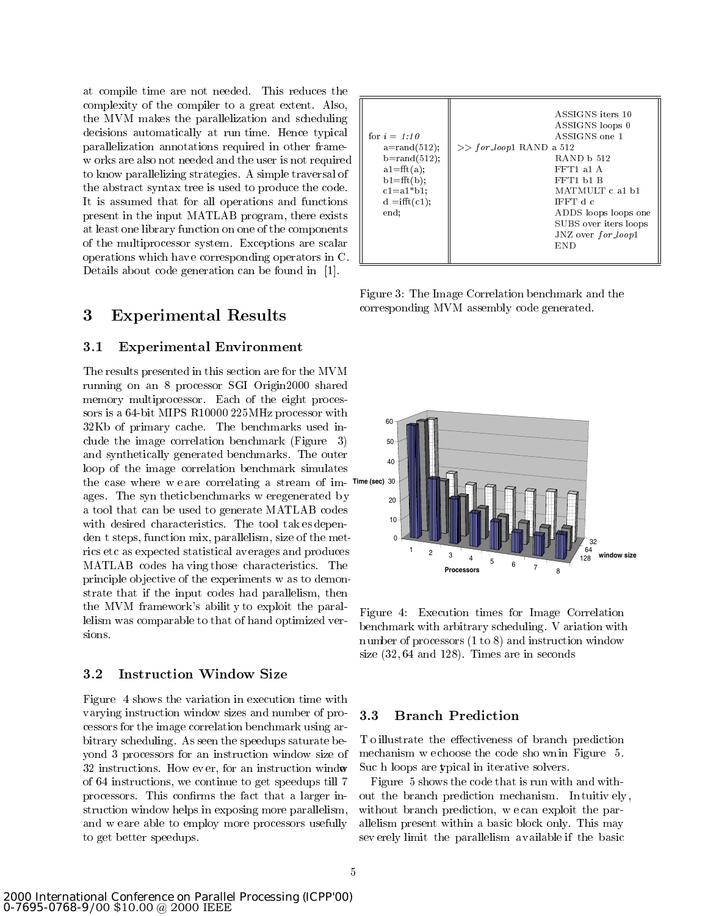at compile time are not needed. This reduces the complexity of the compiler to a great extent. Also, the MVM makes the parallelization and scheduling decisions automatically at run time. Hence typical parallelization annotations required in other framew orks are also not needed and the user is not required to know parallelizing strategies. A simple traversal of the abstract syntax tree is used to produce the code. It is assumed that for all operations and functions present in the input MATLAB program, there exists at least one library function on one of the components of the multiprocessor system. Exceptions are scalar operations which hav e corresponding operators in C. Details about code generation can be found in [1].

#### 3 Experimental Results

#### $3.1$ Experimental Environment

The results presented in this section are for the MVM running on an 8 processor SGI Origin2000 shared memory multiprocessor. Each of the eight processors is a 64-bit MIPS R10000 225MHz processor with 32Kb of primary cache. The benchmarks used include the image correlation benchmark (Figure 3) and synthetically generated benchmarks. The outer loop of the image correlation benchmark simulates the case where w e are correlating a stream of im-**Time (sec)** ages. The syn thetic benchmarks w eregenerated b y a tool that can be used to generate MATLAB codes with desired characteristics. The tool tak es dependen t steps, function mix, parallelism, size of the metrics etc as expected statistical av erages and produces MATLAB codes ha ving those characteristics. The principle ob jective of the experiments w as to demonstrate that if the input codes had parallelism, then the MVM framework's abilit y to exploit the parallelism was comparable to that of hand optimized versions.

#### 3.2 Instruction Window Size

Figure 4 shows the variation in execution time with varying instruction window sizes and number of processors for the image correlation benchmark using arbitrary scheduling. As seen the speedups saturate beyond 3 processors for an instruction window sizeof 32 instructions. How ev er, for an instruction window of 64 instructions, we continue to get speedups till 7 processors. This confirms the fact that a larger instruction window helps in exposing more parallelism, and w eare able to employ more processors usefully to get better speedups.

| for $i = 1:10$<br>$a = \text{rand}(512);$<br>$b = rand(512);$<br>$a1 = fft(a);$<br>$b1 = fft(b);$<br>$c1 = a1 * b1$ ;<br>$d = \text{ifft}(c1);$<br>end; |
|---------------------------------------------------------------------------------------------------------------------------------------------------------|
|---------------------------------------------------------------------------------------------------------------------------------------------------------|

Figure 3: The Image Correlation benchmark and the corresponding MVM assembly code generated.



Figure 4: Execution times for Image Correlation benchmark with arbitrary scheduling. V ariation with n umber of processors (1 to 8) and instruction window size  $(32, 64 \text{ and } 128)$ . Times are in seconds

#### 3.3 **Branch Prediction**

T o illustrate the effectiveness of branch prediction mechanism w echoose the code sho wn in Figure 5. Suc h loops are ypical in iterative solvers.

Figure 5 shows the code that is run with and without the branch prediction mechanism. Intuitively, without branch prediction, w e can exploit the parallelism present within a basic block only. This may sev erely limit the parallelism available if the basic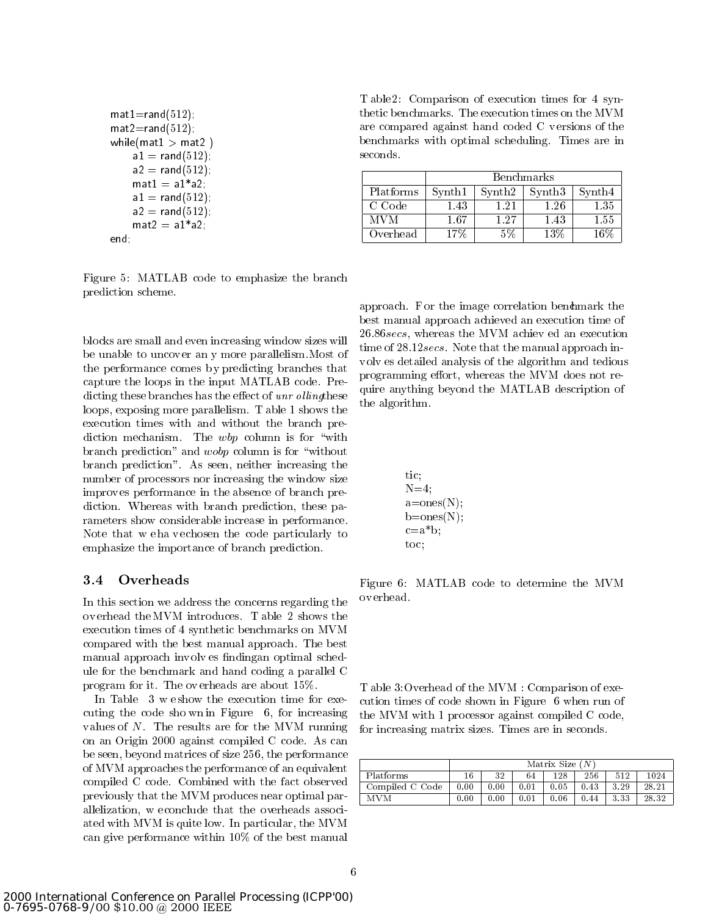```
mat1=rand(512);mat2=rand(512);
while(\text{mat1} > \text{mat2})
    a1 = rand(512);
    a2 = rand(512);
    mat1 = a1 * a2;a1 = \text{rand}(512);
    a2 = rand(512);
    mat2 = a1 * a2;end;
```
Figure 5: MATLAB code to emphasize the branch prediction scheme.

blocks are small and even increasing window sizes will be unable to uncov er an y more parallelism.Most of the performance comes by predicting branches that capture the loops in the input MATLAB code. Predicting these branches has the effect of  $unr$  olling these loops, exposing more parallelism. T able 1 shows the execution times with and without the branch prediction mechanism. The  $wbp$  column is for "with branch prediction" and *wobp* column is for "without branch prediction". As seen, neither increasing the number of processors nor increasing the window size improv es performance in the absence of branch prediction. Whereas with branch prediction, these parameters show considerable increase in performance. Note that w e ha v echosen the code particularly to emphasize the importance of branch prediction.

In this section we address the concerns regarding the ov erhead the MVM introduces. T able 2 shows the execution times of 4 synthetic benchmarks on MVM compared with the best manual approach. The best manual approach involves findingan optimal schedule for the benchmark and hand coding a parallel C program for it. The ov erheads are about 15%.

In Table 3 w eshow the execution time for executing the code sho wn in Figure 6, for increasing values of N. The results are for the MVM running on an Origin 2000 against compiled C code. As can be seen, beyond matrices of size 256, the performance of MVM approaches the performance of an equivalent compiled C code. Combined with the fact observed previously that the MVM produces near optimal parallelization, w e conclude that the overheads associated with MVM is quite low. In particular, the MVM can give performance within 10% of the best manual

T able 2: Comparison of execution times for 4 synthetic benchmarks. The execution times on the MVM are compared against hand coded C v ersions of the benchmarks with optimal scheduling. Times are in seconds.

|           |                                |                                | <b>Benchmarks</b>  |                                |
|-----------|--------------------------------|--------------------------------|--------------------|--------------------------------|
| Platforms | $\mathop{\rm Synth}\nolimits1$ | $\mathop{\rm Synth2}\nolimits$ | Synth <sub>3</sub> | $\mathop{\rm Synth}\nolimits4$ |
| C Code    | -43                            | $-2.$                          | $1.26\,$           | $1.35\,$                       |
| MVM       | .67                            | 1.27                           | 1.43               | $1.55\,$                       |
| Overhead  |                                | 5%                             | $13\%$             | $16\%$                         |

approach. For the image correlation bendmark the best manual approach achieved an execution time of 26.86secs, whereas the MVM achiev ed an execution time of 28.12secs. Note that the manual approach inv olv es detailed analysis of the algorithm and tedious programming effort, whereas the MVM does not require anything beyond the MATLAB description of the algorithm.

tic; N=4; a=ones(N); b=ones(N); c=a\*b; toc;

Figure 6: MATLAB code to determine the MVM ov erhead.

T able 3:Overhead of the MVM : Comparison of execution times of code shown in Figure 6 when run of the MVM with 1 processor against compiled C code, for increasing matrix sizes. Times are in seconds.

|                 | Matrix Size $(N)$ |      |      |      |      |      |       |  |  |
|-----------------|-------------------|------|------|------|------|------|-------|--|--|
| Platforms       | 16                | 32   | 64   | 128  | 256  | 512  | 1024  |  |  |
| Compiled C Code | 0.00              | 0.00 | 0.01 | 0.05 | 0.43 | 3.29 | 28.21 |  |  |
| <b>MVM</b>      | 0.00              | 0.00 | 0.01 | 0.06 | 0.44 | 3.33 | 28.32 |  |  |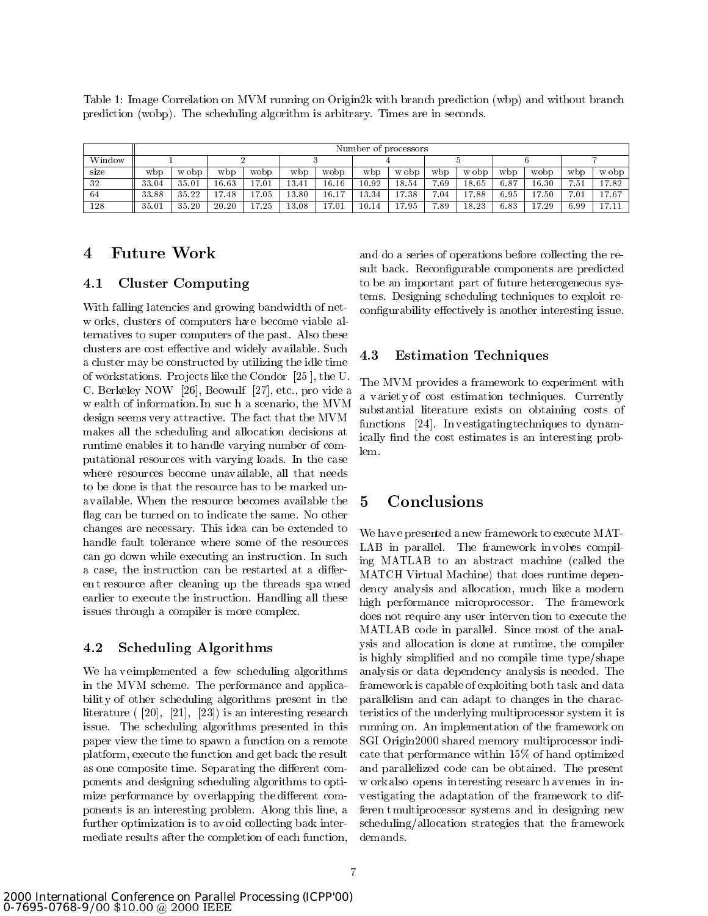Table 1: Image Correlation on MVM running on Origin2k with branch prediction (wbp) and without branch prediction (wobp). The scheduling algorithm is arbitrary. Times are in seconds.

|        | Number of processors |       |       |       |       |       |           |       |      |       |      |                                  |      |       |
|--------|----------------------|-------|-------|-------|-------|-------|-----------|-------|------|-------|------|----------------------------------|------|-------|
| Window |                      |       |       |       |       |       |           |       |      |       |      |                                  |      |       |
| size   | w b p                | w obp | wbp   | wobp  | w bp  | wobp  | w bp      | w obp | wbp  | w obp | wbp  | wobp                             | wbp  | w obp |
| -32    | 33.04                | 35.01 | 16.63 | 17.01 | 13.41 | 16.16 | $10.92\,$ | 18.54 | 7.69 | 18.65 | 6.87 | 16.30                            | 7.51 | 17.82 |
| -64    | 33.88                | 35.22 | 17.48 | 17.05 | 13.80 | 16.17 | 13.34     | 7.38  | 7.04 | 17.88 | 6.95 | 7.50                             | 7.01 | 17.67 |
| 128    | 35.01                | 35.20 | 20.20 | 17.25 | 13.08 | 17.01 | $10.1\,$  | 7.95  | 7.89 | 18.23 | 6.83 | 7.29<br>$\overline{\phantom{0}}$ | 6.99 | 17.11 |

#### **Future Work**  $\overline{\mathbf{4}}$

#### Cluster Computing  $4.1$

With falling latencies and growing bandwidth of netw orks, clusters of computers have become viable alternatives to super computers of the past. Also these clusters are cost effective and widely available. Such  $4.3$ a cluster may be constructed by utilizing the idle time of workstations. Pro jects like the Condor [25 ], the U. C. Berkeley NOW [26], Beowulf [27], etc., pro vide a w ealth of information. In suc h a scenario, the MVM design seems very attractive. The fact that the MVM makes all the scheduling and allocation decisions at runtime enables it to handle varying number of computational resources with varying loads. In the case where resources become unavailable, all that needs to be done is that the resource has to be marked unavailable. When the resource becomes available the flag can be turned on to indicate the same. No other changes are necessary. This idea can be extended to handle fault tolerance where some of the resources can go down while executing an instruction. In such a case, the instruction can be restarted at a differen t resource after cleaning up the threads spa wned earlier to execute the instruction. Handling all these issues through a compiler is more complex.

#### 4.2 Scheduling Algorithms

We have eimplemented a few scheduling algorithms in the MVM scheme. The performance and applicabilit y of other scheduling algorithms present in the literature ( [20], [21], [23]) is an interesting research issue. The scheduling algorithms presented in this paper view the time to spawn a function on a remote platform, execute the function and get back the result as one composite time. Separating the different components and designing scheduling algorithms to optimize performance by overlapping the different components is an interesting problem. Along this line, a further optimization is to av oid collecting back intermediate results after the completion of each function,

and do a series of operations before collecting the result back. Reconfigurable components are predicted to be an important part of future heterogeneous systems. Designing scheduling techniques to exploit reconfigurability effectively is another interesting issue.

#### **Estimation Techniques**

The MVM provides a framework to experiment with a variet y of cost estimation techniques. Currently substantial literature exists on obtaining costs of functions [24]. In v estigating techniques to dynamically find the cost estimates is an interesting problem.

## **Conclusions**

We hav e presented a new framework to execute MAT-LAB in parallel. The framework involves compiling MATLAB to an abstract machine (called the MATCH Virtual Machine) that does runtime dependency analysis and allocation, much like a modern high performance microprocessor. The framework does not require any user interven tion to execute the MATLAB code in parallel. Since most of the analysis and allocation is done at runtime, the compiler is highly simplied and no compile time type/shape analysis or data dependency analysis is needed. The framework is capable of exploiting both task and data parallelism and can adapt to changes in the characteristics of the underlying multiprocessor system it is running on. An implementation of the framework on SGI Origin2000 shared memory multiprocessor indicate that performance within 15% of hand optimized and parallelized code can be obtained. The present w ork also opens in teresting researc h av enues in inv estigating the adaptation of the framework to differen t multiprocessor systems and in designing new scheduling/allocation strategies that the framework demands.